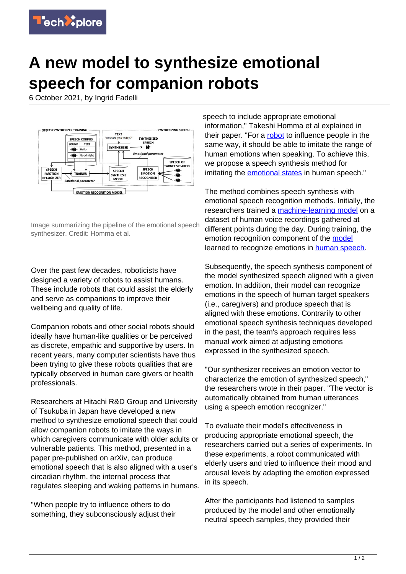

## **A new model to synthesize emotional speech for companion robots**

6 October 2021, by Ingrid Fadelli



Image summarizing the pipeline of the emotional speech synthesizer. Credit: Homma et al.

Over the past few decades, roboticists have designed a variety of robots to assist humans. These include robots that could assist the elderly and serve as companions to improve their wellbeing and quality of life.

Companion robots and other social robots should ideally have human-like qualities or be perceived as discrete, empathic and supportive by users. In recent years, many computer scientists have thus been trying to give these robots qualities that are typically observed in human care givers or health professionals.

Researchers at Hitachi R&D Group and University of Tsukuba in Japan have developed a new method to synthesize emotional speech that could allow companion robots to imitate the ways in which caregivers communicate with older adults or vulnerable patients. This method, presented in a paper pre-published on arXiv, can produce emotional speech that is also aligned with a user's circadian rhythm, the internal process that regulates sleeping and waking patterns in humans.

"When people try to influence others to do something, they subconsciously adjust their speech to include appropriate emotional information," Takeshi Homma et al explained in their paper. "For a [robot](https://techxplore.com/tags/robot/) to influence people in the same way, it should be able to imitate the range of human emotions when speaking. To achieve this, we propose a speech synthesis method for imitating the **emotional states** in human speech."

The method combines speech synthesis with emotional speech recognition methods. Initially, the researchers trained a [machine-learning model](https://techxplore.com/tags/machine-learning+model/) on a dataset of human voice recordings gathered at different points during the day. During training, the emotion recognition component of the [model](https://techxplore.com/tags/model/) learned to recognize emotions in [human speech.](https://techxplore.com/tags/human+speech/)

Subsequently, the speech synthesis component of the model synthesized speech aligned with a given emotion. In addition, their model can recognize emotions in the speech of human target speakers (i.e., caregivers) and produce speech that is aligned with these emotions. Contrarily to other emotional speech synthesis techniques developed in the past, the team's approach requires less manual work aimed at adjusting emotions expressed in the synthesized speech.

"Our synthesizer receives an emotion vector to characterize the emotion of synthesized speech," the researchers wrote in their paper. "The vector is automatically obtained from human utterances using a speech emotion recognizer."

To evaluate their model's effectiveness in producing appropriate emotional speech, the researchers carried out a series of experiments. In these experiments, a robot communicated with elderly users and tried to influence their mood and arousal levels by adapting the emotion expressed in its speech.

After the participants had listened to samples produced by the model and other emotionally neutral speech samples, they provided their